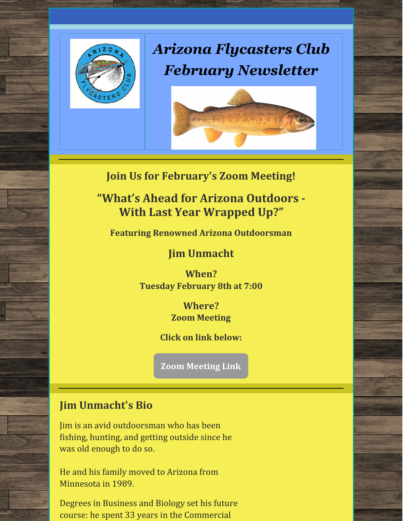

# *Arizona Flycasters Club February Newsletter*



**Join Us for February's Zoom Meeting!**

**"What's Ahead for Arizona Outdoors - With Last Year Wrapped Up?"**

**Featuring Renowned Arizona Outdoorsman**

**Jim Unmacht**

**When? Tuesday February 8th at 7:00**

> **Where? Zoom Meeting**

**Click on link below:**

**Zoom [Meeting](https://zoom.us/j/98328319558?pwd=SHQvSEdVQ0J3M0lPSk5vV0sralBHQT09) Link**

#### **Jim Unmacht's Bio**

Jim is an avid outdoorsman who has been fishing, hunting, and getting outside since he was old enough to do so.

He and his family moved to Arizona from Minnesota in 1989.

Degrees in Business and Biology set his future course: he spent 33 years in the Commercial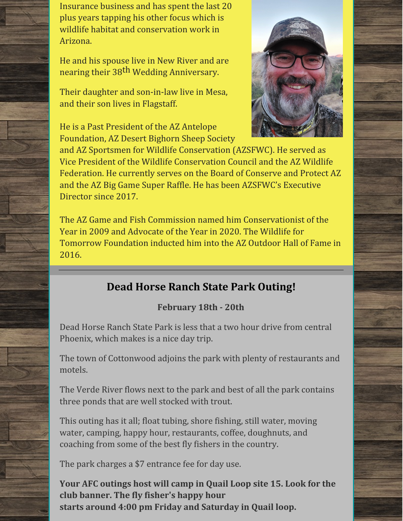Insurance business and has spent the last 20 plus years tapping his other focus which is wildlife habitat and conservation work in Arizona.

He and his spouse live in New River and are nearing their 38<sup>th</sup> Wedding Anniversary.

Their daughter and son-in-law live in Mesa, and their son lives in Flagstaff.

He is a Past President of the AZ Antelope Foundation, AZ Desert Bighorn Sheep Society

and AZ Sportsmen for Wildlife Conservation (AZSFWC). He served as Vice President of the Wildlife Conservation Council and the AZ Wildlife Federation. He currently serves on the Board of Conserve and Protect AZ and the AZ Big Game Super Raffle. He has been AZSFWC's Executive Director since 2017.

The AZ Game and Fish Commission named him Conservationist of the Year in 2009 and Advocate of the Year in 2020. The Wildlife for Tomorrow Foundation inducted him into the AZ Outdoor Hall of Fame in 2016.

## **Dead Horse Ranch State Park Outing!**

### **February 18th - 20th**

Dead Horse Ranch State Park is less that a two hour drive from central Phoenix, which makes is a nice day trip.

The town of Cottonwood adjoins the park with plenty of restaurants and motels.

The Verde River flows next to the park and best of all the park contains three ponds that are well stocked with trout.

This outing has it all; float tubing, shore fishing, still water, moving water, camping, happy hour, restaurants, coffee, doughnuts, and coaching from some of the best fly fishers in the country.

The park charges a \$7 entrance fee for day use.

**Your AFC outings host will camp in Quail Loop site 15. Look for the club banner. The fly fisher's happy hour starts around 4:00 pm Friday and Saturday in Quail loop.**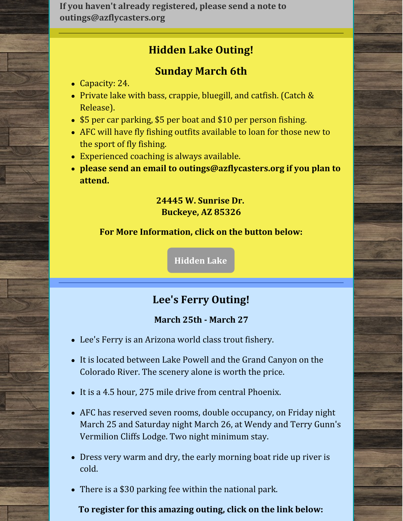**If you haven't already registered, please send a note to outings@azflycasters.org**

## **Hidden Lake Outing!**

## **Sunday March 6th**

- Capacity: 24.
- Private lake with bass, crappie, bluegill, and catfish. (Catch & Release).
- \$5 per car parking, \$5 per boat and \$10 per person fishing.
- AFC will have fly fishing outfits available to loan for those new to the sport of fly fishing.
- Experienced coaching is always available.
- **please send an email to outings@azflycasters.org if you plan to attend.**

#### **24445 W. Sunrise Dr. Buckeye, AZ 85326**

#### **For More Information, click on the button below:**

**[Hidden](https://na01.safelinks.protection.outlook.com/?url=https%3A%2F%2Fwww.hiddenlakeaz.com%2F&data=04%7C01%7C%7C034f8a6f074943d56b3b08d9a5614291%7C84df9e7fe9f640afb435aaaaaaaaaaaa%7C1%7C0%7C637722659567993192%7CUnknown%7CTWFpbGZsb3d8eyJWIjoiMC4wLjAwMDAiLCJQIjoiV2luMzIiLCJBTiI6Ik1haWwiLCJXVCI6Mn0%3D%7C1000&sdata=%2FydMsnR50l4X1V%2FRpfralS1PhI8oBYQcnP6WvTyfvnM%3D&reserved=0) Lake**

## **Lee's Ferry Outing!**

#### **March 25th - March 27**

- Lee's Ferry is an Arizona world class trout fishery.
- It is located between Lake Powell and the Grand Canyon on the Colorado River. The scenery alone is worth the price.
- It is a 4.5 hour, 275 mile drive from central Phoenix.
- AFC has reserved seven rooms, double occupancy, on Friday night March 25 and Saturday night March 26, at Wendy and Terry Gunn's Vermilion Cliffs Lodge. Two night minimum stay.
- Dress very warm and dry, the early morning boat ride up river is cold.
- There is a \$30 parking fee within the national park.

#### **To register for this amazing outing, click on the link below:**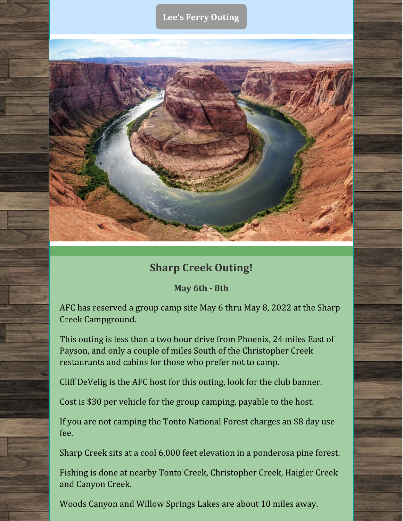#### **Lee's Ferry [Outing](https://azflycasters.org/events/lees-ferry-cliff-dwellers-lodge/)**



### **Sharp Creek Outing!**

**May 6th - 8th**

AFC has reserved a group camp site May 6 thru May 8, 2022 at the Sharp Creek Campground.

This outing is less than a two hour drive from Phoenix, 24 miles East of Payson, and only a couple of miles South of the Christopher Creek restaurants and cabins for those who prefer not to camp.

Cliff DeVelig is the AFC host for this outing, look for the club banner.

Cost is \$30 per vehicle for the group camping, payable to the host.

If you are not camping the Tonto National Forest charges an \$8 day use fee.

Sharp Creek sits at a cool 6,000 feet elevation in a ponderosa pine forest.

Fishing is done at nearby Tonto Creek, Christopher Creek, Haigler Creek and Canyon Creek.

Woods Canyon and Willow Springs Lakes are about 10 miles away.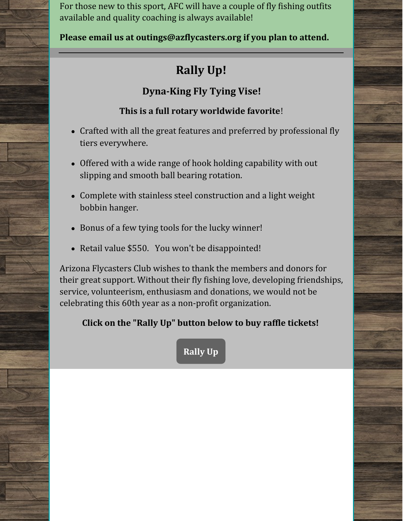For those new to this sport, AFC will have a couple of fly fishing outfits available and quality coaching is always available!

**Please email us at outings@azflycasters.org if you plan to attend.**

## **Rally Up!**

## **Dyna-King Fly Tying Vise!**

#### **This is a full rotary worldwide favorite**!

- Crafted with all the great features and preferred by professional fly tiers everywhere.
- Offered with a wide range of hook holding capability with out slipping and smooth ball bearing rotation.
- Complete with stainless steel construction and a light weight bobbin hanger.
- Bonus of a few tying tools for the lucky winner!
- Retail value \$550. You won't be disappointed!

Arizona Flycasters Club wishes to thank the members and donors for their great support. Without their fly fishing love, developing friendships, service, volunteerism, enthusiasm and donations, we would not be celebrating this 60th year as a non-profit organization.

## **Click on the "Rally Up" button below to buy raffle tickets!**

**[Rally](https://go.rallyup.com/tieoneon/Campaign/Details) Up**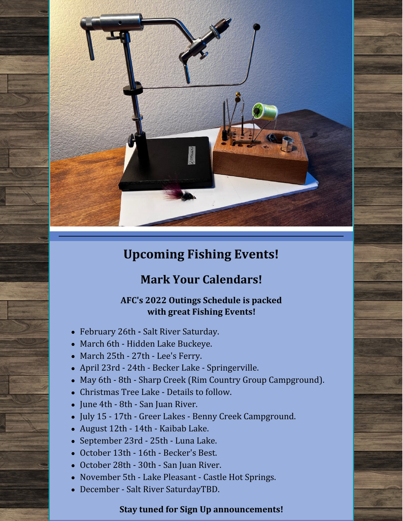

## **Upcoming Fishing Events!**

## **Mark Your Calendars!**

#### **AFC's 2022 Outings Schedule is packed with great Fishing Events!**

- February 26th **-** Salt River Saturday.
- March 6th Hidden Lake Buckeye.
- March 25th 27th Lee's Ferry.
- April 23rd 24th Becker Lake Springerville.
- May 6th 8th Sharp Creek (Rim Country Group Campground).
- Christmas Tree Lake Details to follow.
- June 4th 8th San Juan River.
- July 15 17th Greer Lakes Benny Creek Campground.
- August 12th 14th Kaibab Lake.
- September 23rd 25th Luna Lake.
- October 13th 16th Becker's Best.
- October 28th 30th San Juan River.
- November 5th Lake Pleasant Castle Hot Springs.
- December Salt River SaturdayTBD.

#### **Stay tuned for Sign Up announcements!**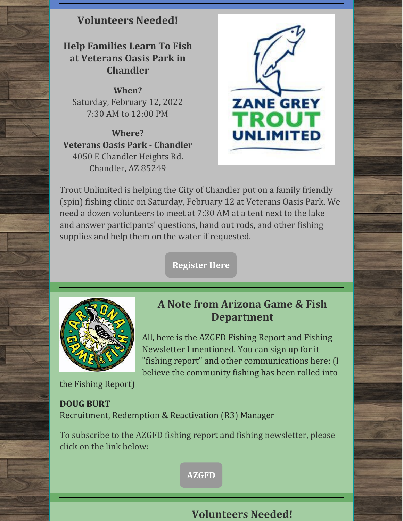#### **Volunteers Needed!**

### **Help Families Learn To Fish at Veterans Oasis Park in Chandler**

**When?** Saturday, February 12, 2022 7:30 AM to 12:00 PM

**Where? Veterans Oasis Park - Chandler** 4050 E Chandler Heights Rd. Chandler, AZ 85249



Trout Unlimited is helping the City of Chandler put on a family friendly (spin) fishing clinic on Saturday, February 12 at Veterans Oasis Park. We need a dozen volunteers to meet at 7:30 AM at a tent next to the lake and answer participants' questions, hand out rods, and other fishing supplies and help them on the water if requested.

**[Register](https://events.r20.constantcontact.com/register/eventReg?oeidk=a07ej0fdgxo81269264&oseq=&c=dea558de-164c-11ea-b2ba-d4ae52754b78&ch=deafeee8-164c-11ea-b2ba-d4ae52754b78) Here**



**A Note from Arizona Game & Fish Department**

All, here is the AZGFD Fishing Report and Fishing Newsletter I mentioned. You can sign up for it "fishing report" and other communications here: (I believe the community fishing has been rolled into

the Fishing Report)

#### **DOUG BURT**

Recruitment, Redemption & Reactivation (R3) Manager

To subscribe to the AZGFD fishing report and fishing newsletter, please click on the link below:

**[AZGFD](https://list.robly.com/subscribe?a=7fca2776b89bbf3c078c9d34acd3bc57)**

#### **Volunteers Needed!**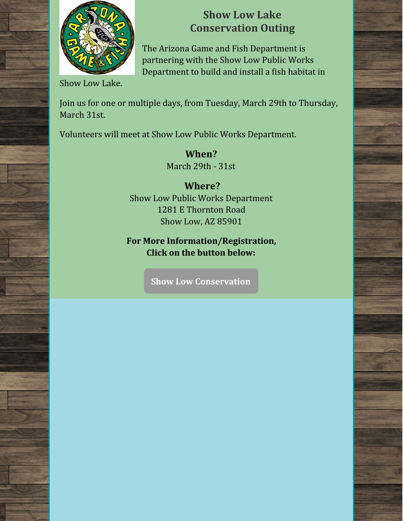

## **Show Low Lake Conservation Outing**

The Arizona Game and Fish Department is partnering with the Show Low Public Works Department to build and install a fish habitat in

Show Low Lake.

Join us for one or multiple days, from Tuesday, March 29th to Thursday, March 31st.

Volunteers will meet at Show Low Public Works Department.

**When?** March 29th - 31st

**Where?** Show Low Public Works Department 1281 E Thornton Road Show Low, AZ 85901

**For More Information/Registration, Click on the button below:**

**Show Low [Conservation](https://volunteer.azgfd.gov/need/detail/?need_id=648068)**